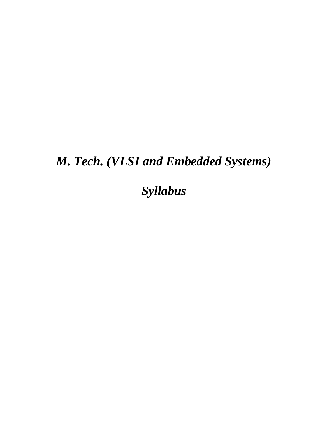# *M. Tech. (VLSI and Embedded Systems)*

*Syllabus*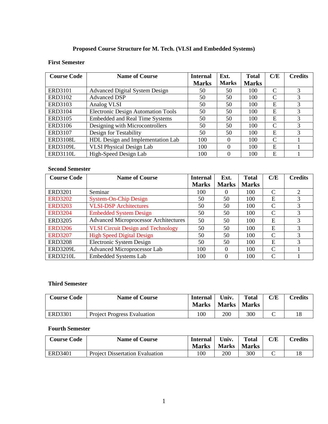# **Proposed Course Structure for M. Tech. (VLSI and Embedded Systems)**

## **First Semester**

| <b>Course Code</b> | <b>Name of Course</b>                     | <b>Internal</b> | Ext.         | <b>Total</b> | C/E           | <b>Credits</b> |
|--------------------|-------------------------------------------|-----------------|--------------|--------------|---------------|----------------|
|                    |                                           | <b>Marks</b>    | <b>Marks</b> | <b>Marks</b> |               |                |
| <b>ERD3101</b>     | <b>Advanced Digital System Design</b>     | 50              | 50           | 100          | $\mathsf{C}$  | 3              |
| ERD3102            | <b>Advanced DSP</b>                       | 50              | 50           | 100          | $\mathsf{C}$  | 3              |
| ERD3103            | Analog VLSI                               | 50              | 50           | 100          | E             | 3              |
| ERD3104            | <b>Electronic Design Automation Tools</b> | 50              | 50           | 100          | E             | 3              |
| ERD3105            | <b>Embedded and Real Time Systems</b>     | 50              | 50           | 100          | E             | 3              |
| ERD3106            | Designing with Microcontrollers           | 50              | 50           | 100          | $\mathsf{C}$  | 3              |
| <b>ERD3107</b>     | Design for Testability                    | 50              | 50           | 100          | E             | 3              |
| <b>ERD3108L</b>    | HDL Design and Implementation Lab         | 100             | 0            | 100          | $\mathcal{C}$ |                |
| <b>ERD3109L</b>    | <b>VLSI Physical Design Lab</b>           | 100             | 0            | 100          | E             |                |
| <b>ERD3110L</b>    | High-Speed Design Lab                     | 100             | 0            | 100          | E             |                |

# **Second Semester**

| <b>Course Code</b> | <b>Name of Course</b>                        | <b>Internal</b> | Ext.         | <b>Total</b> | C/E               | <b>Credits</b> |
|--------------------|----------------------------------------------|-----------------|--------------|--------------|-------------------|----------------|
|                    |                                              | <b>Marks</b>    | <b>Marks</b> | <b>Marks</b> |                   |                |
| <b>ERD3201</b>     | Seminar                                      | 100             | $\Omega$     | 100          | C                 | 2              |
| <b>ERD3202</b>     | <b>System-On-Chip Design</b>                 | 50              | 50           | 100          | E                 | 3              |
| <b>ERD3203</b>     | <b>VLSI-DSP</b> Architectures                | 50              | 50           | 100          | C                 | 3              |
| <b>ERD3204</b>     | <b>Embedded System Design</b>                | 50              | 50           | 100          | C                 | 3              |
| <b>ERD3205</b>     | <b>Advanced Microprocessor Architectures</b> | 50              | 50           | 100          | E                 | 3              |
| <b>ERD3206</b>     | <b>VLSI Circuit Design and Technology</b>    | 50              | 50           | 100          | E                 | 3              |
| <b>ERD3207</b>     | <b>High Speed Digital Design</b>             | 50              | 50           | 100          | C                 | 3              |
| <b>ERD3208</b>     | Electronic System Design                     | 50              | 50           | 100          | E                 | 3              |
| <b>ERD3209L</b>    | Advanced Microprocessor Lab                  | 100             | $\Omega$     | 100          | C                 |                |
| <b>ERD3210L</b>    | <b>Embedded Systems Lab</b>                  | 100             | 0            | 100          | $\mathsf{\Gamma}$ |                |

## **Third Semester**

| <b>Course Code</b> | <b>Name of Course</b>              | Internal<br><b>Marks</b> | Univ.<br>Marks | <b>Total</b><br><b>Marks</b> | C/E | <b>Credits</b> |
|--------------------|------------------------------------|--------------------------|----------------|------------------------------|-----|----------------|
| ERD3301            | <b>Project Progress Evaluation</b> | 100                      | 200            | 300                          |     | 18             |

## **Fourth Semester**

| <b>Course Code</b> | <b>Name of Course</b>                  | Internal<br><b>Marks</b> | Univ.<br><b>Marks</b> | <b>Total</b><br><b>Marks</b> | ${\rm C/E}$ | <b>Tredits</b> |
|--------------------|----------------------------------------|--------------------------|-----------------------|------------------------------|-------------|----------------|
| <b>ERD3401</b>     | <b>Project Dissertation Evaluation</b> | 100                      | 200                   | 300                          | ◡           | 18             |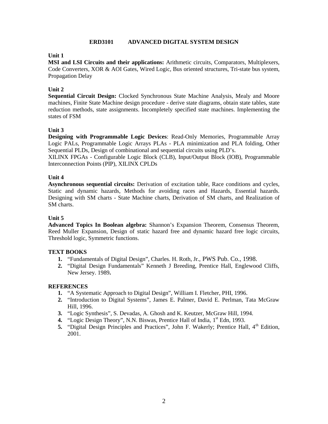## **ERD3101 ADVANCED DIGITAL SYSTEM DESIGN**

## **Unit 1**

**MSI and LSI Circuits and their applications:** Arithmetic circuits, Comparators, Multiplexers, Code Converters, XOR & AOI Gates, Wired Logic, Bus oriented structures, Tri-state bus system, Propagation Delay

## **Unit 2**

**Sequential Circuit Design:** Clocked Synchronous State Machine Analysis, Mealy and Moore machines, Finite State Machine design procedure - derive state diagrams, obtain state tables, state reduction methods, state assignments. Incompletely specified state machines. Implementing the states of FSM

## **Unit 3**

**Designing with Programmable Logic Devices**: Read-Only Memories, Programmable Array Logic PALs, Programmable Logic Arrays PLAs - PLA minimization and PLA folding, Other Sequential PLDs, Design of combinational and sequential circuits using PLD's.

XILINX FPGAs - Configurable Logic Block (CLB), Input/Output Block (IOB), Programmable Interconnection Points (PIP), XILINX CPLDs

## **Unit 4**

**Asynchronous sequential circuits:** Derivation of excitation table, Race conditions and cycles, Static and dynamic hazards, Methods for avoiding races and Hazards, Essential hazards. Designing with SM charts - State Machine charts, Derivation of SM charts, and Realization of SM charts.

#### **Unit 5**

**Advanced Topics In Boolean algebra:** Shannon's Expansion Theorem, Consensus Theorem, Reed Muller Expansion, Design of static hazard free and dynamic hazard free logic circuits, Threshold logic, Symmetric functions.

#### **TEXT BOOKS**

- **1.** "Fundamentals of Digital Design", Charles. H. Roth, Jr., PWS Pub. Co., 1998.
- **2.** "Digital Design Fundamentals" Kenneth J Breeding, Prentice Hall, Englewood Cliffs, New Jersey. 1989**.**

- **1.** "A Systematic Approach to Digital Design", William I. Fletcher, PHI, 1996.
- **2.** "Introduction to Digital Systems", James E. Palmer, David E. Perlman, Tata McGraw Hill, 1996.
- **3.** "Logic Synthesis", S. Devadas, A. Ghosh and K. Keutzer, McGraw Hill, 1994.
- 4. "Logic Design Theory", N.N. Biswas, Prentice Hall of India, 1<sup>st</sup> Edn, 1993.
- 5. "Digital Design Principles and Practices", John F. Wakerly; Prentice Hall, 4<sup>th</sup> Edition, 2001.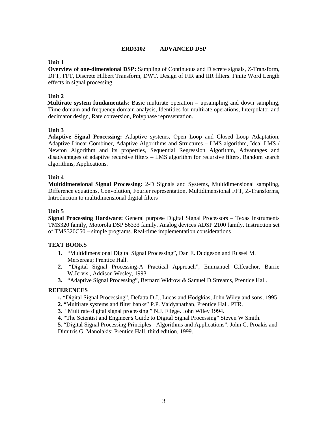## **ERD3102 ADVANCED DSP**

## **Unit 1**

**Overview of one-dimensional DSP:** Sampling of Continuous and Discrete signals, Z-Transform, DFT, FFT, Discrete Hilbert Transform, DWT. Design of FIR and IIR filters. Finite Word Length effects in signal processing.

## **Unit 2**

**Multirate system fundamentals**: Basic multirate operation – upsampling and down sampling, Time domain and frequency domain analysis, Identities for multirate operations, Interpolator and decimator design, Rate conversion, Polyphase representation.

## **Unit 3**

**Adaptive Signal Processing:** Adaptive systems, Open Loop and Closed Loop Adaptation, Adaptive Linear Combiner, Adaptive Algorithms and Structures – LMS algorithm, Ideal LMS / Newton Algorithm and its properties, Sequential Regression Algorithm, Advantages and disadvantages of adaptive recursive filters – LMS algorithm for recursive filters, Random search algorithms, Applications.

## **Unit 4**

**Multidimensional Signal Processing:** 2-D Signals and Systems, Multidimensional sampling, Difference equations, Convolution, Fourier representation, Multidimensional FFT, Z-Transforms, Introduction to multidimensional digital filters

## **Unit 5**

**Signal Processing Hardware:** General purpose Digital Signal Processors – Texas Instruments TMS320 family, Motorola DSP 56333 family, Analog devices ADSP 2100 family. Instruction set of TMS320C50 – simple programs. Real-time implementation considerations

## **TEXT BOOKS**

- **1.** "Multidimensional Digital Signal Processing", Dan E. Dudgeson and Russel M. Mersereau; Prentice Hall.
- **2.** "Digital Signal Processing-A Practical Approach", Emmanuel C.Ifeachor, Barrie W.Jervis,, Addison Wesley, 1993.
- **3.** "Adaptive Signal Processing", Bernard Widrow & Samuel D.Streams, Prentice Hall.

## **REFERENCES**

- **<sup>1</sup>.** "Digital Signal Processing", Defatta D.J., Lucas and Hodgkias, John Wiley and sons, 1995.
- **2.** "Multirate systems and filter banks" P.P. Vaidyanathan, Prentice Hall. PTR.
- **3.** "Multirate digital signal processing " N.J. Fliege. John Wiley 1994.
- **4.** "The Scientist and Engineer's Guide to Digital Signal Processing" Steven W Smith.

**5.** "Digital Signal Processing Principles - Algorithms and Applications", John G. Proakis and Dimitris G. Manolakis; Prentice Hall, third edition, 1999.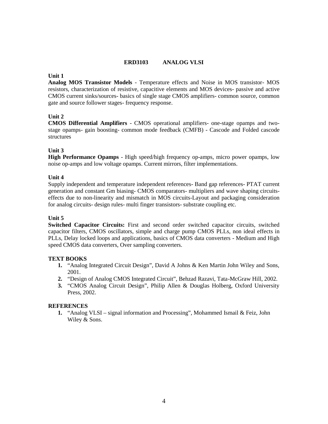## **ERD3103 ANALOG VLSI**

#### **Unit 1**

**Analog MOS Transistor Models** - Temperature effects and Noise in MOS transistor- MOS resistors, characterization of resistive, capacitive elements and MOS devices- passive and active CMOS current sinks/sources- basics of single stage CMOS amplifiers- common source, common gate and source follower stages- frequency response.

#### **Unit 2**

**CMOS Differential Amplifiers** - CMOS operational amplifiers- one-stage opamps and two stage opamps- gain boosting- common mode feedback (CMFB) - Cascode and Folded cascode structures

## **Unit 3**

**High Performance Opamps** - High speed/high frequency op-amps, micro power opamps, low noise op-amps and low voltage opamps. Current mirrors, filter implementations.

#### **Unit 4**

Supply independent and temperature independent references- Band gap references- PTAT current generation and constant Gm biasing- CMOS comparators- multipliers and wave shaping circuits effects due to non-linearity and mismatch in MOS circuits-Layout and packaging consideration for analog circuits- design rules- multi finger transistors- substrate coupling etc.

#### **Unit 5**

**Switched Capacitor Circuits:** First and second order switched capacitor circuits, switched capacitor filters, CMOS oscillators, simple and charge pump CMOS PLLs, non ideal effects in PLLs, Delay locked loops and applications, basics of CMOS data converters - Medium and High speed CMOS data converters, Over sampling converters.

#### **TEXT BOOKS**

- **1.** "Analog Integrated Circuit Design", David A Johns & Ken Martin John Wiley and Sons, 2001.
- **2.** "Design of Analog CMOS Integrated Circuit", Behzad Razavi, Tata-McGraw Hill, 2002.
- **3.** "CMOS Analog Circuit Design", Philip Allen & Douglas Holberg, Oxford University Press, 2002.

#### **REFERENCES**

**1.** "Analog VLSI – signal information and Processing", Mohammed Ismail & Feiz, John Wiley & Sons.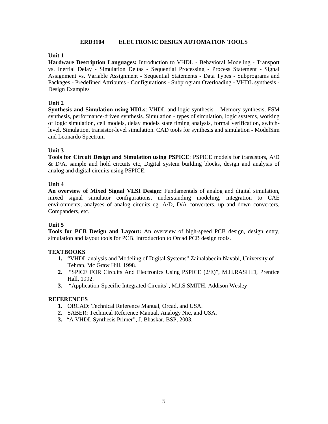#### **ERD3104 ELECTRONIC DESIGN AUTOMATION TOOLS**

## **Unit 1**

**Hardware Description Languages:** Introduction to VHDL - Behavioral Modeling - Transport vs. Inertial Delay - Simulation Deltas - Sequential Processing - Process Statement - Signal Assignment vs. Variable Assignment - Sequential Statements - Data Types - Subprograms and Packages - Predefined Attributes - Configurations - Subprogram Overloading - VHDL synthesis - Design Examples

## **Unit 2**

**Synthesis and Simulation using HDLs**: VHDL and logic synthesis – Memory synthesis, FSM synthesis, performance-driven synthesis. Simulation - types of simulation, logic systems, working of logic simulation, cell models, delay models state timing analysis, formal verification, switchlevel. Simulation, transistor-level simulation. CAD tools for synthesis and simulation - ModelSim and Leonardo Spectrum

## **Unit 3**

**Tools for Circuit Design and Simulation using PSPICE**: PSPICE models for transistors, A/D  $\&$  D/A, sample and hold circuits etc, Digital system building blocks, design and analysis of analog and digital circuits using PSPICE.

## **Unit 4**

**An overview of Mixed Signal VLSI Design:** Fundamentals of analog and digital simulation, mixed signal simulator configurations, understanding modeling, integration to CAE environments, analyses of analog circuits eg. A/D, D/A converters, up and down converters, Companders, etc.

#### **Unit 5**

**Tools for PCB Design and Layout:** An overview of high-speed PCB design, design entry, simulation and layout tools for PCB. Introduction to Orcad PCB design tools.

#### **TEXTBOOKS**

- **1.** "VHDL analysis and Modeling of Digital Systems" Zainalabedin Navabi, University of Tehran, Mc Graw Hill, 1998.
- **2.** "SPICE FOR Circuits And Electronics Using PSPICE (2/E)", M.H.RASHID, Prentice Hall, 1992.
- **3.** "Application-Specific Integrated Circuits", M.J.S.SMITH. Addison Wesley

- **1.** ORCAD: Technical Reference Manual, Orcad, and USA.
- **2.** SABER: Technical Reference Manual, Analogy Nic, and USA.
- **3.** "A VHDL Synthesis Primer", J. Bhaskar, BSP, 2003.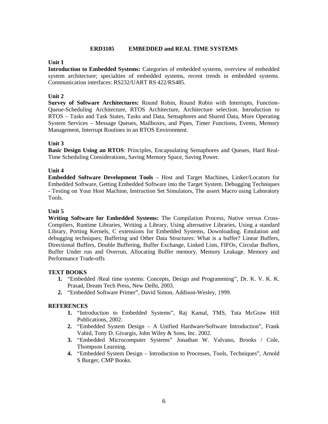## **ERD3105 EMBEDDED and REAL TIME SYSTEMS**

## **Unit 1**

**Introduction to Embedded Systems:** Categories of embedded systems, overview of embedded system architecture; specialties of embedded systems, recent trends in embedded systems. Communication interfaces: RS232/UART RS 422/RS485.

## **Unit 2**

**Survey of Software Architectures:** Round Robin, Round Robin with Interrupts, Function- Queue-Scheduling Architecture, RTOS Architecture, Architecture selection. Introduction to RTOS – Tasks and Task States, Tasks and Data, Semaphores and Shared Data, More Operating System Services – Message Queues, Mailboxes, and Pipes, Timer Functions, Events, Memory Management, Interrupt Routines in an RTOS Environment.

#### **Unit 3**

**Basic Design Using an RTOS**: Principles, Encapsulating Semaphores and Queues, Hard Real- Time Scheduling Considerations, Saving Memory Space, Saving Power.

#### **Unit 4**

**Embedded Software Development Tools** – Host and Target Machines, Linker/Locators for Embedded Software, Getting Embedded Software into the Target System. Debugging Techniques - Testing on Your Host Machine, Instruction Set Simulators, The assert Macro using Laboratory Tools.

## **Unit 5**

**Writing Software for Embedded Systems:** The Compilation Process, Native versus Cross- Compilers, Runtime Libraries, Writing a Library, Using alternative Libraries, Using a standard Library, Porting Kernels, C extensions for Embedded Systems, Downloading. Emulation and debugging techniques; Buffering and Other Data Structures: What is a buffer? Linear Buffers, Directional Buffers, Double Buffering, Buffer Exchange, Linked Lists, FIFOs, Circular Buffers, Buffer Under run and Overrun, Allocating Buffer memory, Memory Leakage. Memory and Performance Trade-offs

#### **TEXT BOOKS**

- **1.** "Embedded /Real time systems: Concepts, Design and Programming", Dr. K. V. K. K. Prasad, Dream Tech Press, New Delhi, 2003.
- **2.** "Embedded Software Primer", David Simon, Addison-Wesley, 1999.

- **1.** "Introduction to Embedded Systems", Raj Kamal, TMS, Tata McGraw Hill Publications, 2002.
- **2.** "Embedded System Design A Unified Hardware/Software Introduction", Frank Vahid, Tony D. Givargis, John Wiley & Sons, Inc. 2002.
- **3.** "Embedded Microcomputer Systems" Jonathan W. Valvano, Brooks / Cole, Thompson Learning.
- **4.** "Embedded System Design Introduction to Processes, Tools, Techniques", Arnold S Burger, CMP Books.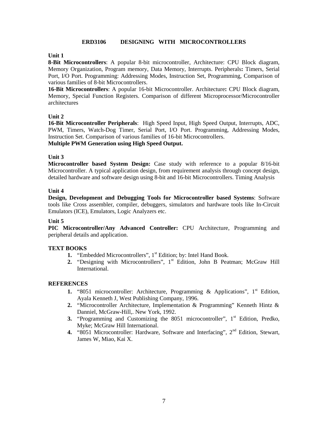#### **ERD3106 DESIGNING WITH MICROCONTROLLERS**

### **Unit 1**

**8-Bit Microcontrollers**: A popular 8-bit microcontroller, Architecture: CPU Block diagram, Memory Organization, Program memory, Data Memory, Interrupts. Peripherals**:** Timers, Serial Port, I/O Port. Programming: Addressing Modes, Instruction Set, Programming, Comparison of various families of 8-bit Microcontrollers.

**16-Bit Microcontrollers**: A popular 16-bit Microcontroller. Architecture**:** CPU Block diagram, Memory, Special Function Registers. Comparison of different Microprocessor/Microcontroller architectures

## **Unit 2**

**16-Bit Microcontroller Peripherals**: High Speed Input, High Speed Output, Interrupts, ADC, PWM, Timers, Watch-Dog Timer, Serial Port, I/O Port. Programming, Addressing Modes, Instruction Set. Comparison of various families of 16-bit Microcontrollers. **Multiple PWM Generation using High Speed Output.**

#### **Unit 3**

**Microcontroller based System Design:** Case study with reference to a popular 8/16-bit Microcontroller. A typical application design, from requirement analysis through concept design, detailed hardware and software design using 8-bit and 16-bit Microcontrollers. Timing Analysis

#### **Unit 4**

**Design, Development and Debugging Tools for Microcontroller based Systems**: Software tools like Cross assembler, compiler, debuggers, simulators and hardware tools like In-Circuit Emulators (ICE), Emulators, Logic Analyzers etc.

#### **Unit 5**

**PIC Microcontroller/Any Advanced Controller:** CPU Architecture, Programming and peripheral details and application.

#### **TEXT BOOKS**

- 1. "Embedded Microcontrollers", 1<sup>st</sup> Edition; by: Intel Hand Book.
- **2.** "Designing with Microcontrollers", 1<sup>st</sup> Edition, John B Peatman; McGraw Hill International.

- **1.** "8051 microcontroller: Architecture, Programming & Applications", 1<sup>st</sup> Edition, Ayala Kenneth J, West Publishing Company, 1996.
- **2.** "Microcontroller Architecture, Implementation & Programming" Kenneth Hintz & Danniel, McGraw-Hill,. New York, 1992.
- **3.** "Programming and Customizing the 8051 microcontroller", 1<sup>st</sup> Edition, Predko, Myke; McGraw Hill International.
- **4.** "8051 Microcontroller: Hardware, Software and Interfacing", 2nd Edition, Stewart, James W, Miao, Kai X.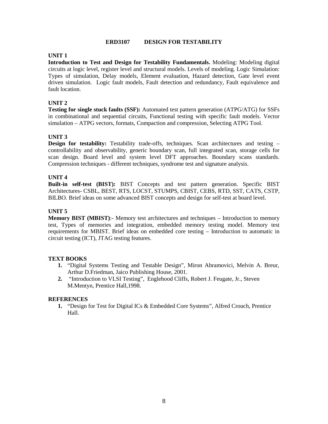#### **ERD3107 DESIGN FOR TESTABILITY**

### **UNIT 1**

**Introduction to Test and Design for Testability Fundamentals.** Modeling: Modeling digital circuits at logic level, register level and structural models. Levels of modeling. Logic Simulation: Types of simulation, Delay models, Element evaluation, Hazard detection, Gate level event driven simulation. Logic fault models, Fault detection and redundancy, Fault equivalence and fault location.

## **UNIT 2**

**Testing for single stuck faults (SSF):** Automated test pattern generation (ATPG/ATG) for SSFs in combinational and sequential circuits, Functional testing with specific fault models. Vector simulation – ATPG vectors, formats, Compaction and compression, Selecting ATPG Tool.

## **UNIT 3**

**Design for testability:** Testability trade-offs, techniques. Scan architectures and testing – controllability and observability, generic boundary scan, full integrated scan, storage cells for scan design. Board level and system level DFT approaches. Boundary scans standards. Compression techniques - different techniques, syndrome test and signature analysis.

#### **UNIT 4**

**Built-in self-test (BIST):** BIST Concepts and test pattern generation. Specific BIST Architectures- CSBL, BEST, RTS, LOCST, STUMPS, CBIST, CEBS, RTD, SST, CATS, CSTP, BILBO. Brief ideas on some advanced BIST concepts and design for self-test at board level.

## **UNIT 5**

**Memory BIST (MBIST):-** Memory test architectures and techniques – Introduction to memory test, Types of memories and integration, embedded memory testing model. Memory test requirements for MBIST. Brief ideas on embedded core testing – Introduction to automatic in circuit testing (ICT), JTAG testing features.

#### **TEXT BOOKS**

- **1.** "Digital Systems Testing and Testable Design", Miron Abramovici, Melvin A. Breur, Arthur D.Friedman, Jaico Publishing House, 2001.
- **2.** "Introduction to VLSI Testing", Englehood Cliffs, Robert J. Feugate, Jr., Steven M.Mentyn, Prentice Hall,1998.

#### **REFERENCES**

**1.** "Design for Test for Digital ICs & Embedded Core Systems", Alfred Crouch, Prentice Hall.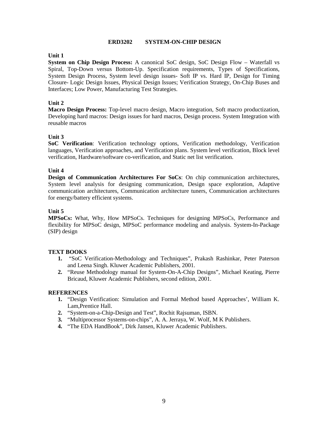#### **ERD3202 SYSTEM-ON-CHIP DESIGN**

## **Unit 1**

**System on Chip Design Process:** A canonical SoC design, SoC Design Flow – Waterfall vs Spiral, Top-Down versus Bottom-Up. Specification requirements, Types of Specifications, System Design Process, System level design issues- Soft IP vs. Hard IP, Design for Timing Closure- Logic Design Issues, Physical Design Issues; Verification Strategy, On-Chip Buses and Interfaces; Low Power, Manufacturing Test Strategies.

## **Unit 2**

**Macro Design Process:** Top-level macro design, Macro integration, Soft macro productization, Developing hard macros: Design issues for hard macros, Design process. System Integration with reusable macros

## **Unit 3**

**SoC Verification**: Verification technology options, Verification methodology, Verification languages, Verification approaches, and Verification plans. System level verification, Block level verification, Hardware/software co-verification, and Static net list verification.

#### **Unit 4**

**Design of Communication Architectures For SoCs**: On chip communication architectures, System level analysis for designing communication, Design space exploration, Adaptive communication architectures, Communication architecture tuners, Communication architectures for energy/battery efficient systems.

## **Unit 5**

**MPSoCs:** What, Why, How MPSoCs. Techniques for designing MPSoCs, Performance and flexibility for MPSoC design, MPSoC performance modeling and analysis. System-In-Package (SIP) design

#### **TEXT BOOKS**

- **1.** "SoC Verification-Methodology and Techniques", Prakash Rashinkar, Peter Paterson and Leena Singh. Kluwer Academic Publishers, 2001.
- **2.** "Reuse Methodology manual for System-On-A-Chip Designs", Michael Keating, Pierre Bricaud, Kluwer Academic Publishers, second edition, 2001.

- **1.** "Design Verification: Simulation and Formal Method based Approaches', William K. Lam,Prentice Hall.
- **2.** "System-on-a-Chip-Design and Test", Rochit Rajsuman, ISBN.
- **3.** "Multiprocessor Systems-on-chips", A. A. Jerraya, W. Wolf, M K Publishers.
- **4.** "The EDA HandBook", Dirk Jansen, Kluwer Academic Publishers.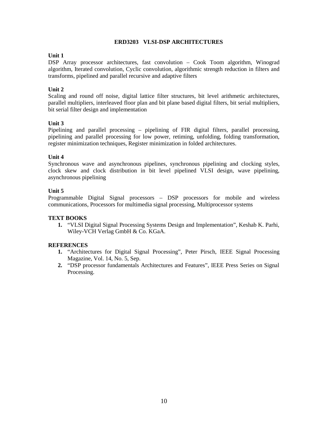#### **ERD3203 VLSI-DSP ARCHITECTURES**

## **Unit 1**

DSP Array processor architectures, fast convolution – Cook Toom algorithm, Winograd algorithm, Iterated convolution, Cyclic convolution, algorithmic strength reduction in filters and transforms, pipelined and parallel recursive and adaptive filters

## **Unit 2**

Scaling and round off noise, digital lattice filter structures, bit level arithmetic architectures, parallel multipliers, interleaved floor plan and bit plane based digital filters, bit serial multipliers, bit serial filter design and implementation

## **Unit 3**

Pipelining and parallel processing – pipelining of FIR digital filters, parallel processing, pipelining and parallel processing for low power, retiming, unfolding, folding transformation, register minimization techniques, Register minimization in folded architectures.

## **Unit 4**

Synchronous wave and asynchronous pipelines, synchronous pipelining and clocking styles, clock skew and clock distribution in bit level pipelined VLSI design, wave pipelining, asynchronous pipelining

## **Unit 5**

Programmable Digital Signal processors – DSP processors for mobile and wireless communications, Processors for multimedia signal processing, Multiprocessor systems

#### **TEXT BOOKS**

**1.** "VLSI Digital Signal Processing Systems Design and Implementation", Keshab K. Parhi, Wiley-VCH Verlag GmbH & Co. KGaA.

- **1.** "Architectures for Digital Signal Processing", Peter Pirsch, IEEE Signal Processing Magazine, Vol. 14, No. 5, Sep.
- **2.** "DSP processor fundamentals Architectures and Features", IEEE Press Series on Signal Processing.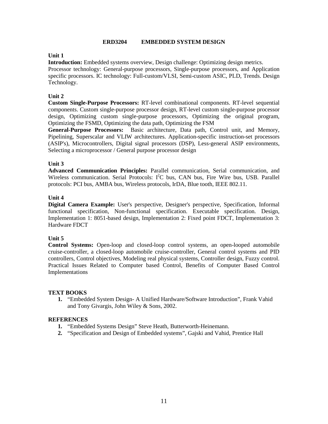#### **ERD3204 EMBEDDED SYSTEM DESIGN**

## **Unit 1**

**Introduction:** Embedded systems overview, Design challenge: Optimizing design metrics.

Processor technology: General-purpose processors, Single-purpose processors, and Application specific processors. IC technology: Full-custom/VLSI, Semi-custom ASIC, PLD, Trends. Design Technology.

## **Unit 2**

**Custom Single-Purpose Processors:** RT-level combinational components. RT-level sequential components. Custom single-purpose processor design, RT-level custom single-purpose processor design, Optimizing custom single-purpose processors, Optimizing the original program, Optimizing the FSMD, Optimizing the data path, Optimizing the FSM

**General-Purpose Processors:** Basic architecture, Data path, Control unit, and Memory, Pipelining, Superscalar and VLIW architectures. Application-specific instruction-set processors (ASIP's), Microcontrollers, Digital signal processors (DSP), Less-general ASIP environments, Selecting a microprocessor / General purpose processor design

## **Unit 3**

**Advanced Communication Principles:** Parallel communication, Serial communication, and Wireless communication. Serial Protocols:  $I^2C$  bus, CAN bus, Fire Wire bus, USB. Parallel protocols: PCI bus, AMBA bus, Wireless protocols, IrDA, Blue tooth, IEEE 802.11.

## **Unit 4**

**Digital Camera Example:** User's perspective, Designer's perspective, Specification, Informal functional specification, Non-functional specification. Executable specification. Design, Implementation 1: 8051-based design, Implementation 2: Fixed point FDCT, Implementation 3: Hardware FDCT

## **Unit 5**

**Control Systems:** Open-loop and closed-loop control systems, an open-looped automobile cruise-controller, a closed-loop automobile cruise-controller, General control systems and PID controllers, Control objectives, Modeling real physical systems, Controller design, Fuzzy control. Practical Issues Related to Computer based Control, Benefits of Computer Based Control Implementations

#### **TEXT BOOKS**

**1.** "Embedded System Design- A Unified Hardware/Software Introduction", Frank Vahid and Tony Givargis, John Wiley & Sons, 2002.

- **1.** "Embedded Systems Design" Steve Heath, Butterworth-Heinemann.
- **2.** "Specification and Design of Embedded systems", Gajski and Vahid, Prentice Hall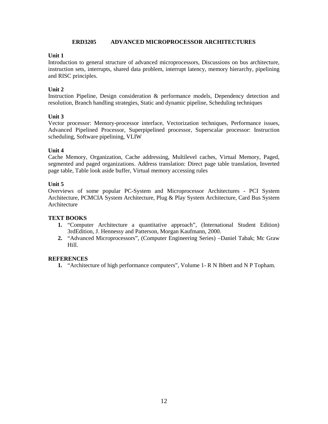## **ERD3205 ADVANCED MICROPROCESSOR ARCHITECTURES**

## **Unit 1**

Introduction to general structure of advanced microprocessors, Discussions on bus architecture, instruction sets, interrupts, shared data problem, interrupt latency, memory hierarchy, pipelining and RISC principles.

## **Unit 2**

Instruction Pipeline, Design consideration & performance models, Dependency detection and resolution, Branch handling strategies, Static and dynamic pipeline, Scheduling techniques

## **Unit 3**

Vector processor: Memory-processor interface, Vectorization techniques, Performance issues, Advanced Pipelined Processor, Superpipelined processor, Superscalar processor: Instruction scheduling, Software pipelining, VLIW

## **Unit 4**

Cache Memory, Organization, Cache addressing, Multilevel caches, Virtual Memory, Paged, segmented and paged organizations. Address translation: Direct page table translation, Inverted page table, Table look aside buffer, Virtual memory accessing rules

## **Unit 5**

Overviews of some popular PC-System and Microprocessor Architectures - PCI System Architecture, PCMCIA System Architecture, Plug & Play System Architecture, Card Bus System Architecture

#### **TEXT BOOKS**

- **1.** "Computer Architecture a quantitative approach", (International Student Edition) 3rdEdition, J. Hennessy and Patterson, Morgan Kaufmann, 2000.
- **2.** "Advanced Microprocessors", (Computer Engineering Series) –Daniel Tabak; Mc Graw Hill.

#### **REFERENCES**

**1.** "Architecture of high performance computers", Volume 1- R N Ibbett and N P Topham.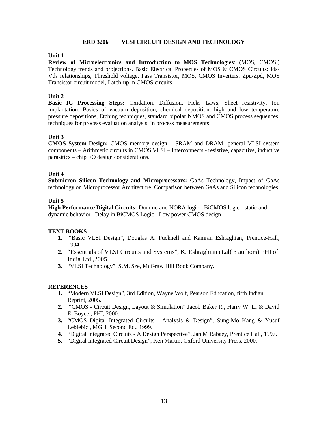#### **ERD 3206 VLSI CIRCUIT DESIGN AND TECHNOLOGY**

#### **Unit 1**

**Review of Microelectronics and Introduction to MOS Technologies**: (MOS, CMOS,) Technology trends and projections. Basic Electrical Properties of MOS & CMOS Circuits: Ids- Vds relationships, Threshold voltage, Pass Transistor, MOS, CMOS Inverters, Zpu/Zpd, MOS Transistor circuit model, Latch-up in CMOS circuits

## **Unit 2**

**Basic IC Processing Steps:** Oxidation, Diffusion, Ficks Laws, Sheet resistivity, Ion implantation, Basics of vacuum deposition, chemical deposition, high and low temperature pressure depositions, Etching techniques, standard bipolar NMOS and CMOS process sequences, techniques for process evaluation analysis, in process measurements

## **Unit 3**

**CMOS System Design:** CMOS memory design – SRAM and DRAM- general VLSI system components – Arithmetic circuits in CMOS VLSI – Interconnects - resistive, capacitive, inductive parasitics – chip I/O design considerations.

## **Unit 4**

**Submicron Silicon Technology and Microprocessors:** GaAs Technology, Impact of GaAs technology on Microprocessor Architecture, Comparison between GaAs and Silicon technologies

#### **Unit 5**

**High Performance Digital Circuits:** Domino and NORA logic - BiCMOS logic - static and dynamic behavior –Delay in BiCMOS Logic - Low power CMOS design

#### **TEXT BOOKS**

- **1.** "Basic VLSI Design", Douglas A. Pucknell and Kamran Eshraghian, Prentice-Hall, 1994.
- **2.** "Essentials of VLSI Circuits and Systems", K. Eshraghian et.al( 3 authors) PHI of India Ltd.,2005.
- **3.** "VLSI Technology", S.M. Sze, McGraw Hill Book Company.

- **1.** "Modern VLSI Design", 3rd Edition, Wayne Wolf, Pearson Education, fifth Indian Reprint, 2005.
- **2.** "CMOS Circuit Design, Layout & Simulation" Jacob Baker R., Harry W. Li & David E. Boyce,, PHI, 2000.
- **3.** "CMOS Digital Integrated Circuits Analysis & Design", Sung-Mo Kang & Yusuf Leblebici, MGH, Second Ed., 1999.
- **4.** "Digital Integrated Circuits A Design Perspective", Jan M Rabaey, Prentice Hall, 1997.
- **5.** "Digital Integrated Circuit Design", Ken Martin, Oxford University Press, 2000.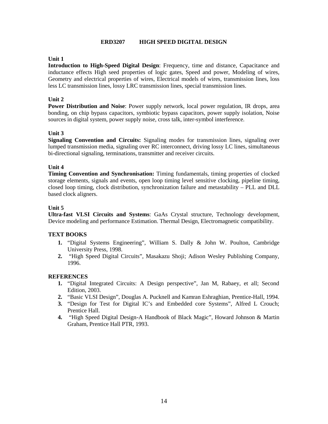#### **ERD3207 HIGH SPEED DIGITAL DESIGN**

## **Unit 1**

**Introduction to High-Speed Digital Design**: Frequency, time and distance, Capacitance and inductance effects High seed properties of logic gates, Speed and power, Modeling of wires, Geometry and electrical properties of wires, Electrical models of wires, transmission lines, loss less LC transmission lines, lossy LRC transmission lines, special transmission lines.

#### **Unit 2**

**Power Distribution and Noise**: Power supply network, local power regulation, IR drops, area bonding, on chip bypass capacitors, symbiotic bypass capacitors, power supply isolation, Noise sources in digital system, power supply noise, cross talk, inter-symbol interference.

#### **Unit 3**

**Signaling Convention and Circuits:** Signaling modes for transmission lines, signaling over lumped transmission media, signaling over RC interconnect, driving lossy LC lines, simultaneous bi-directional signaling, terminations, transmitter and receiver circuits.

#### **Unit 4**

**Timing Convention and Synchronisation:** Timing fundamentals, timing properties of clocked storage elements, signals and events, open loop timing level sensitive clocking, pipeline timing, closed loop timing, clock distribution, synchronization failure and metastability – PLL and DLL based clock aligners.

#### **Unit 5**

**Ultra-fast VLSI Circuits and Systems**: GaAs Crystal structure, Technology development, Device modeling and performance Estimation. Thermal Design, Electromagnetic compatibility.

#### **TEXT BOOKS**

- **1.** "Digital Systems Engineering", William S. Dally & John W. Poulton, Cambridge University Press, 1998.
- **2.** "High Speed Digital Circuits", Masakazu Shoji; Adison Wesley Publishing Company, 1996.

- **1.** "Digital Integrated Circuits: A Design perspective", Jan M, Rabaey, et all; Second Edition, 2003.
- **2.** "Basic VLSI Design", Douglas A. Pucknell and Kamran Eshraghian, Prentice-Hall, 1994.
- **3.** "Design for Test for Digital IC's and Embedded core Systems", Alfred L Crouch; Prentice Hall.
- **4.** "High Speed Digital Design-A Handbook of Black Magic", Howard Johnson & Martin Graham, Prentice Hall PTR, 1993.